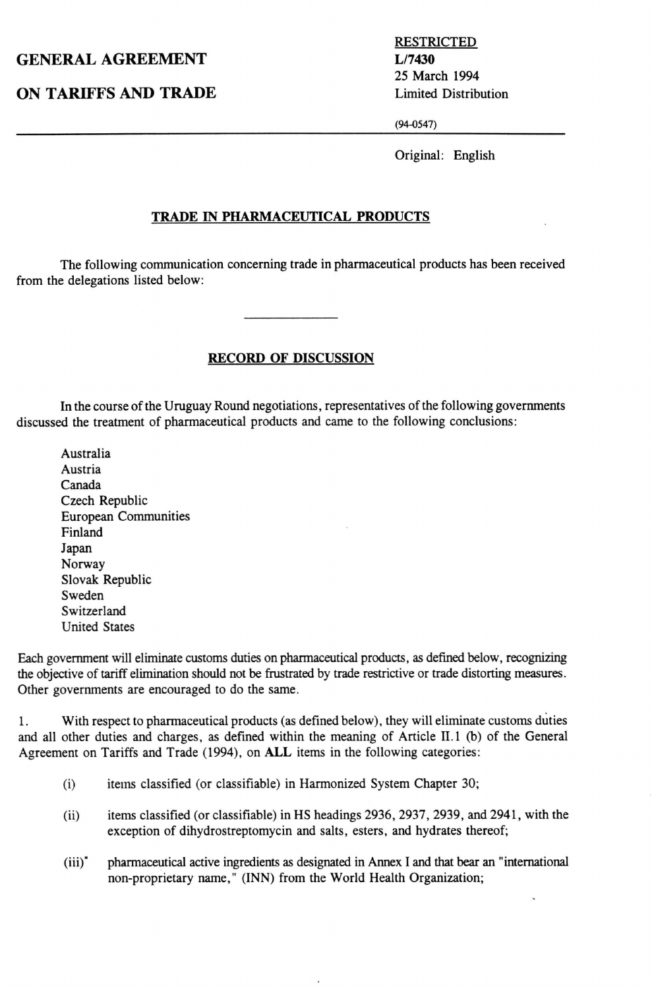## GENERAL AGREEMENT L/7430

ON TARIFFS AND TRADE Limited Distribution

RESTRICTED 25 March 1994

(94-0547)

Original: English

## TRADE IN PHARMACEUTICAL PRODUCTS

The following communication concerning trade in pharmaceutical products has been received from the delegations listed below:

## RECORD OF DISCUSSION

In the course of the Uruguay Round negotiations, representatives of the following governments discussed the treatment of pharmaceutical products and came to the following conclusions:

Australia Austria Canada Czech Republic European Communities Finland Japan Norway Slovak Republic Sweden Switzerland United States

Each government will eliminate customs duties on pharmaceutical products, as defined below, recognizing the objective of tariff elimination should not be frustrated by trade restrictive or trade distorting measures. Other governments are encouraged to do the same.

1. With respect to pharmaceutical products (as defined below), they will eliminate customs duties and all other duties and charges, as defined within the meaning of Article II.1 (b) of the General Agreement on Tariffs and Trade (1994), on ALL items in the following categories:

- (i) items classified (or classifiable) in Harmonized System Chapter 30;
- (ii) items classified (or classifiable) in HS headings 2936, 2937, 2939, and 2941, with the exception of dihydrostreptomycin and salts, esters, and hydrates thereof;
- (iii)" pharmaceutical active ingredients as designated in Annex I and that bear an "international non-proprietary name," (INN) from the World Health Organization;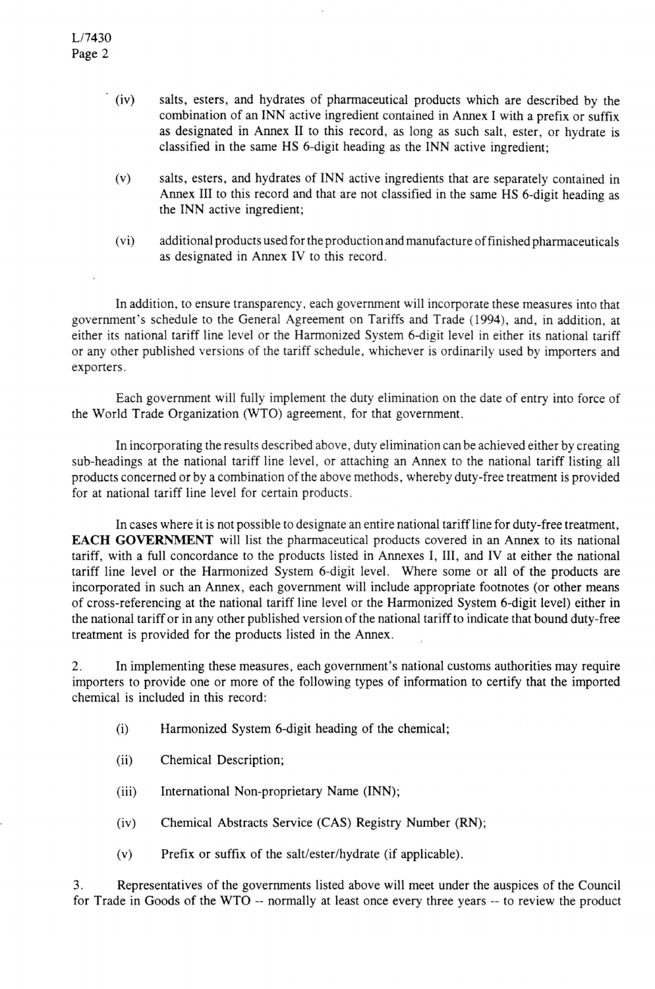- (iv) salts, esters, and hydrates of pharmaceutical products which are described by the combination of an INN active ingredient contained in Annex I with a prefix or suffix as designated in Annex II to this record, as long as such salt, ester, or hydrate is classified in the same HS 6-digit heading as the INN active ingredient;
- (v) salts, esters, and hydrates of INN active ingredients that are separately contained in Annex III to this record and that are not classified in the same HS 6-digit heading as the INN active ingredient;
- (vi) additional products used for the production and manufacture of finished pharmaceuticals as designated in Annex IV to this record.

In addition, to ensure transparency, each government will incorporate these measures into that government's schedule to the General Agreement on Tariffs and Trade (1994), and, in addition, at either its national tariff line level or the Harmonized System 6-digit level in either its national tariff or any other published versions of the tariff schedule, whichever is ordinarily used by importers and exporters.

Each government will fully implement the duty elimination on the date of entry into force of the World Trade Organization (WTO) agreement, for that government.

In incorporating the results described above, duty elimination can be achieved either by creating sub-headings at the national tariff line level, or attaching an Annex to the national tariff listing all products concerned or by a combination of the above methods, whereby duty-free treatment is provided for at national tariff line level for certain products.

In cases where it is not possible to designate an entire national tariff line for duty-free treatment, EACH GOVERNMENT will list the pharmaceutical products covered in an Annex to its national tariff, with a full concordance to the products listed in Annexes I, III, and IV at either the national tariff line level or the Harmonized System 6-digit level. Where some or all of the products are incorporated in such an Annex, each government will include appropriate footnotes (or other means of cross-referencing at the national tariff line level or the Harmonized System 6-digit level) either in the national tariff or in any other published version of the national tariff to indicate that bound duty-free treatment is provided for the products listed in the Annex.

2. In implementing these measures, each government's national customs authorities may require importers to provide one or more of the following types of information to certify that the imported chemical is included in this record:

- (i) Harmonized System 6-digit heading of the chemical;
- (ii) Chemical Description;
- (iii) International Non-proprietary Name (INN);
- (iv) Chemical Abstracts Service (CAS) Registry Number (RN);
- (v) Prefix or suffix of the salt/ester/hydrate (if applicable).

3. Representatives of the governments listed above will meet under the auspices of the Council for Trade in Goods of the WTO - normally at least once every three years — to review the product